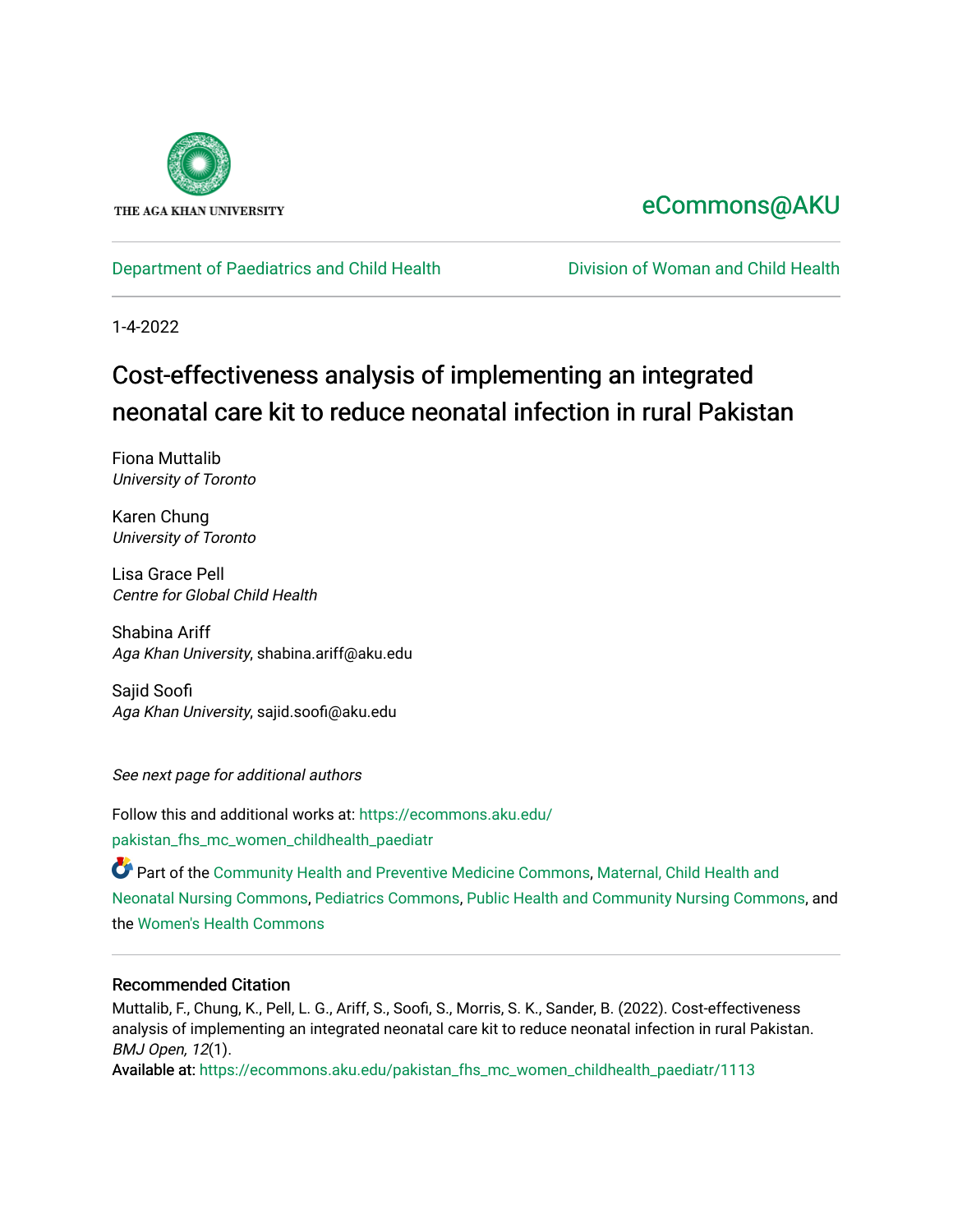

# [eCommons@AKU](https://ecommons.aku.edu/)

# [Department of Paediatrics and Child Health](https://ecommons.aku.edu/pakistan_fhs_mc_women_childhealth_paediatr) **Division of Woman and Child Health**

1-4-2022

# Cost-effectiveness analysis of implementing an integrated neonatal care kit to reduce neonatal infection in rural Pakistan

Fiona Muttalib University of Toronto

Karen Chung University of Toronto

Lisa Grace Pell Centre for Global Child Health

Shabina Ariff Aga Khan University, shabina.ariff@aku.edu

Sajid Soofi Aga Khan University, sajid.soofi@aku.edu

See next page for additional authors

Follow this and additional works at: [https://ecommons.aku.edu/](https://ecommons.aku.edu/pakistan_fhs_mc_women_childhealth_paediatr?utm_source=ecommons.aku.edu%2Fpakistan_fhs_mc_women_childhealth_paediatr%2F1113&utm_medium=PDF&utm_campaign=PDFCoverPages) [pakistan\\_fhs\\_mc\\_women\\_childhealth\\_paediatr](https://ecommons.aku.edu/pakistan_fhs_mc_women_childhealth_paediatr?utm_source=ecommons.aku.edu%2Fpakistan_fhs_mc_women_childhealth_paediatr%2F1113&utm_medium=PDF&utm_campaign=PDFCoverPages) 

Part of the [Community Health and Preventive Medicine Commons](http://network.bepress.com/hgg/discipline/744?utm_source=ecommons.aku.edu%2Fpakistan_fhs_mc_women_childhealth_paediatr%2F1113&utm_medium=PDF&utm_campaign=PDFCoverPages), Maternal, Child Health and [Neonatal Nursing Commons](http://network.bepress.com/hgg/discipline/721?utm_source=ecommons.aku.edu%2Fpakistan_fhs_mc_women_childhealth_paediatr%2F1113&utm_medium=PDF&utm_campaign=PDFCoverPages), [Pediatrics Commons,](http://network.bepress.com/hgg/discipline/700?utm_source=ecommons.aku.edu%2Fpakistan_fhs_mc_women_childhealth_paediatr%2F1113&utm_medium=PDF&utm_campaign=PDFCoverPages) [Public Health and Community Nursing Commons,](http://network.bepress.com/hgg/discipline/725?utm_source=ecommons.aku.edu%2Fpakistan_fhs_mc_women_childhealth_paediatr%2F1113&utm_medium=PDF&utm_campaign=PDFCoverPages) and the [Women's Health Commons](http://network.bepress.com/hgg/discipline/1241?utm_source=ecommons.aku.edu%2Fpakistan_fhs_mc_women_childhealth_paediatr%2F1113&utm_medium=PDF&utm_campaign=PDFCoverPages) 

## Recommended Citation

Muttalib, F., Chung, K., Pell, L. G., Ariff, S., Soofi, S., Morris, S. K., Sander, B. (2022). Cost-effectiveness analysis of implementing an integrated neonatal care kit to reduce neonatal infection in rural Pakistan. BMJ Open, 12(1).

Available at: [https://ecommons.aku.edu/pakistan\\_fhs\\_mc\\_women\\_childhealth\\_paediatr/1113](https://ecommons.aku.edu/pakistan_fhs_mc_women_childhealth_paediatr/1113)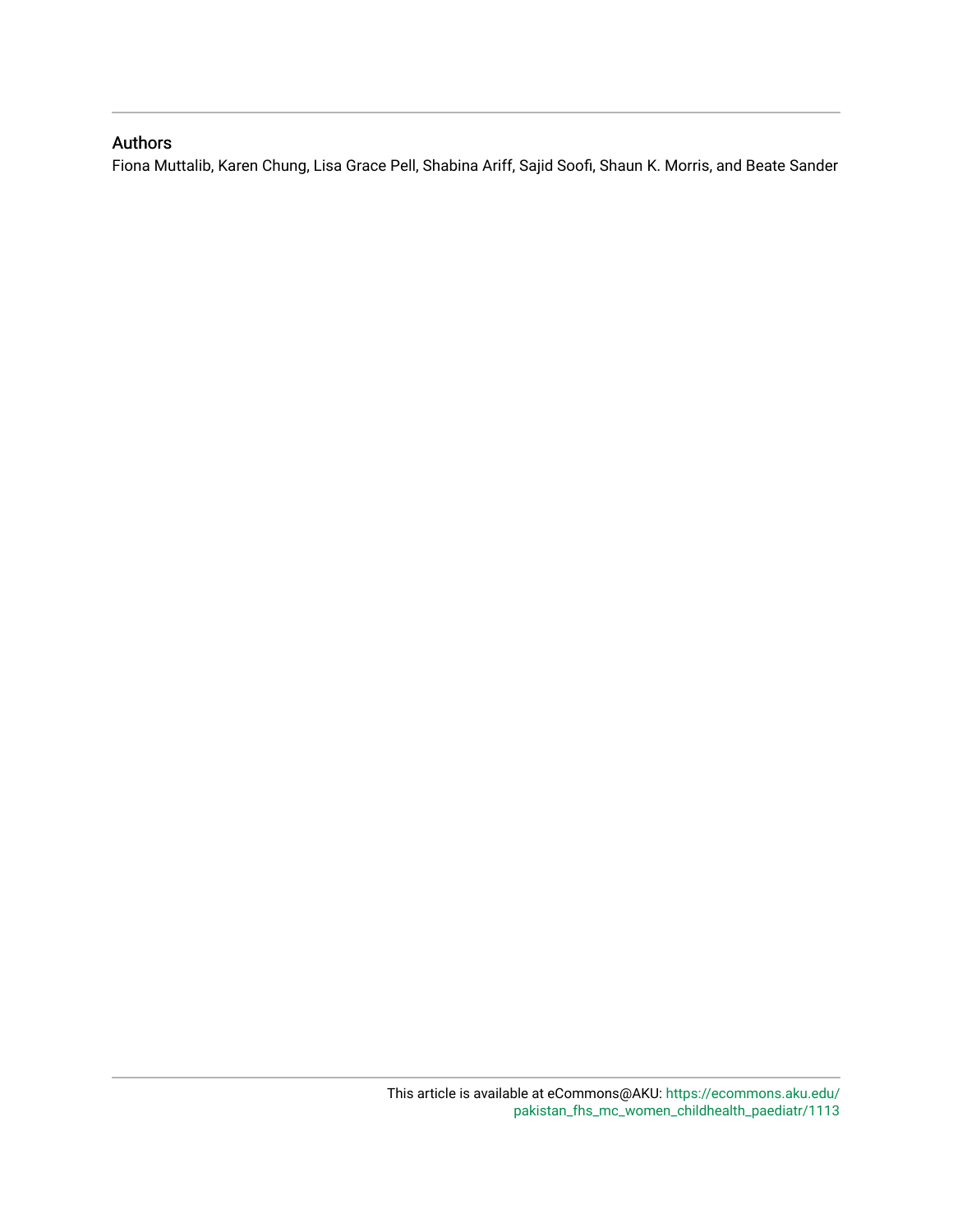## Authors

Fiona Muttalib, Karen Chung, Lisa Grace Pell, Shabina Ariff, Sajid Soofi, Shaun K. Morris, and Beate Sander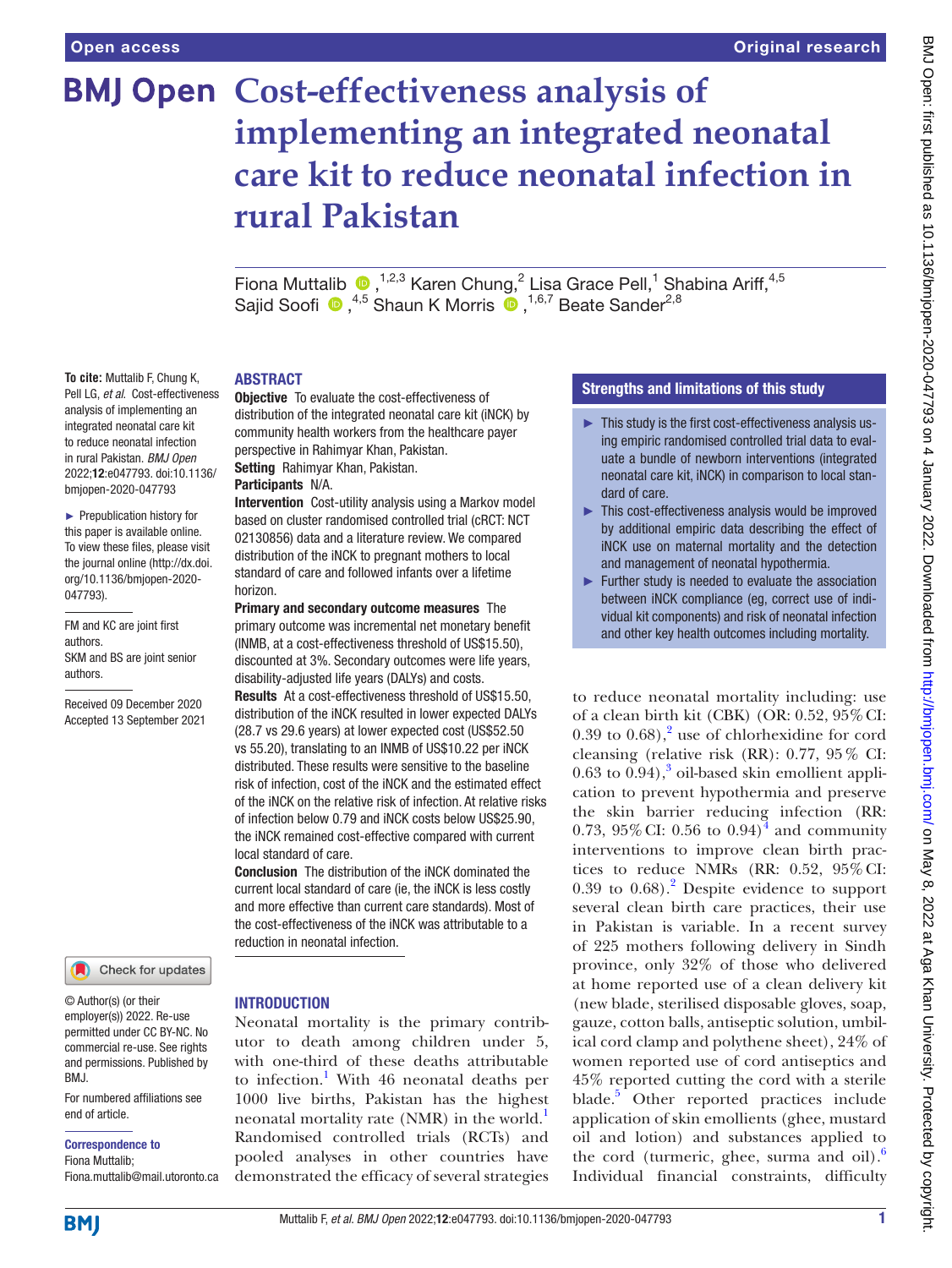**To cite:** Muttalib F, Chung K, Pell LG, *et al*. Cost-effectiveness analysis of implementing an integrated neonatal care kit to reduce neonatal infection in rural Pakistan. *BMJ Open* 2022;12:e047793. doi:10.1136/ bmjopen-2020-047793 ► Prepublication history for this paper is available online. To view these files, please visit the journal online [\(http://dx.doi.](http://dx.doi.org/10.1136/bmjopen-2020-047793) [org/10.1136/bmjopen-2020-](http://dx.doi.org/10.1136/bmjopen-2020-047793)

[047793\)](http://dx.doi.org/10.1136/bmjopen-2020-047793).

authors.

authors.

FM and KC are joint first

SKM and BS are joint senior

Received 09 December 2020 Accepted 13 September 2021

# **BMJ Open Cost-effectiveness analysis of implementing an integrated neonatal care kit to reduce neonatal infection in rural Pakistan**

FionaMuttalib  $\bigcirc$ , <sup>1,2,3</sup> Karen Chung, 2 Lisa Grace Pell, <sup>1</sup> Shabina Ariff, <sup>4,5</sup> Sajid Soofi  $\bigcirc$ , <sup>4,5</sup> Shaun K Morris  $\bigcirc$ , <sup>1,6,7</sup> Beate Sander<sup>2,8</sup>

#### ABSTRACT

Objective To evaluate the cost-effectiveness of distribution of the integrated neonatal care kit (iNCK) by community health workers from the healthcare payer perspective in Rahimyar Khan, Pakistan. Setting Rahimyar Khan, Pakistan.

#### Participants N/A.

Intervention Cost-utility analysis using a Markov model based on cluster randomised controlled trial (cRCT: NCT 02130856) data and a literature review. We compared distribution of the iNCK to pregnant mothers to local standard of care and followed infants over a lifetime horizon.

Primary and secondary outcome measures The primary outcome was incremental net monetary benefit (INMB, at a cost-effectiveness threshold of US\$15.50), discounted at 3%. Secondary outcomes were life years, disability-adjusted life years (DALYs) and costs.

Results At a cost-effectiveness threshold of US\$15.50, distribution of the iNCK resulted in lower expected DALYs (28.7 vs 29.6 years) at lower expected cost (US\$52.50 vs 55.20), translating to an INMB of US\$10.22 per iNCK distributed. These results were sensitive to the baseline risk of infection, cost of the iNCK and the estimated effect of the iNCK on the relative risk of infection. At relative risks of infection below 0.79 and iNCK costs below US\$25.90, the iNCK remained cost-effective compared with current local standard of care.

Conclusion The distribution of the iNCK dominated the current local standard of care (ie, the iNCK is less costly and more effective than current care standards). Most of the cost-effectiveness of the iNCK was attributable to a reduction in neonatal infection.

Check for updates

© Author(s) (or their employer(s)) 2022. Re-use permitted under CC BY-NC. No commercial re-use. See rights and permissions. Published by BMJ.

For numbered affiliations see end of article.

Correspondence to

Fiona Muttalib; Fiona.muttalib@mail.utoronto.ca

#### INTRODUCTION

Neonatal mortality is the primary contributor to death among children under 5, with one-third of these deaths attributable to infection.<sup>1</sup> With 46 neonatal deaths per 1000 live births, Pakistan has the highest neonatal mortality rate (NMR) in the world.<sup>[1](#page-9-0)</sup> Randomised controlled trials (RCTs) and pooled analyses in other countries have demonstrated the efficacy of several strategies

### Strengths and limitations of this study

- ► This study is the first cost-effectiveness analysis using empiric randomised controlled trial data to evaluate a bundle of newborn interventions (integrated neonatal care kit, iNCK) in comparison to local standard of care.
- ► This cost-effectiveness analysis would be improved by additional empiric data describing the effect of iNCK use on maternal mortality and the detection and management of neonatal hypothermia.
- ► Further study is needed to evaluate the association between iNCK compliance (eg, correct use of individual kit components) and risk of neonatal infection and other key health outcomes including mortality.

to reduce neonatal mortality including: use of a clean birth kit (CBK) (OR: 0.52, 95%CI:  $0.39$  to  $0.68$ ),<sup>2</sup> use of chlorhexidine for cord cleansing (relative risk (RR): 0.77, 95% CI:  $0.63$  $0.63$  to  $0.94$ ),<sup>3</sup> oil-based skin emollient application to prevent hypothermia and preserve the skin barrier reducing infection (RR: 0.73, 95% CI: 0.56 to  $0.94$  $0.94$ <sup>4</sup> and community interventions to improve clean birth practices to reduce NMRs (RR: 0.52, 95%CI:  $0.39$  to  $0.68$ ).<sup>[2](#page-9-1)</sup> Despite evidence to support several clean birth care practices, their use in Pakistan is variable. In a recent survey of 225 mothers following delivery in Sindh province, only 32% of those who delivered at home reported use of a clean delivery kit (new blade, sterilised disposable gloves, soap, gauze, cotton balls, antiseptic solution, umbilical cord clamp and polythene sheet), 24% of women reported use of cord antiseptics and 45% reported cutting the cord with a sterile blade.<sup>[5](#page-9-4)</sup> Other reported practices include application of skin emollients (ghee, mustard oil and lotion) and substances applied to the cord (turmeric, ghee, surma and oil). $\frac{6}{10}$  $\frac{6}{10}$  $\frac{6}{10}$ Individual financial constraints, difficulty

**BMI**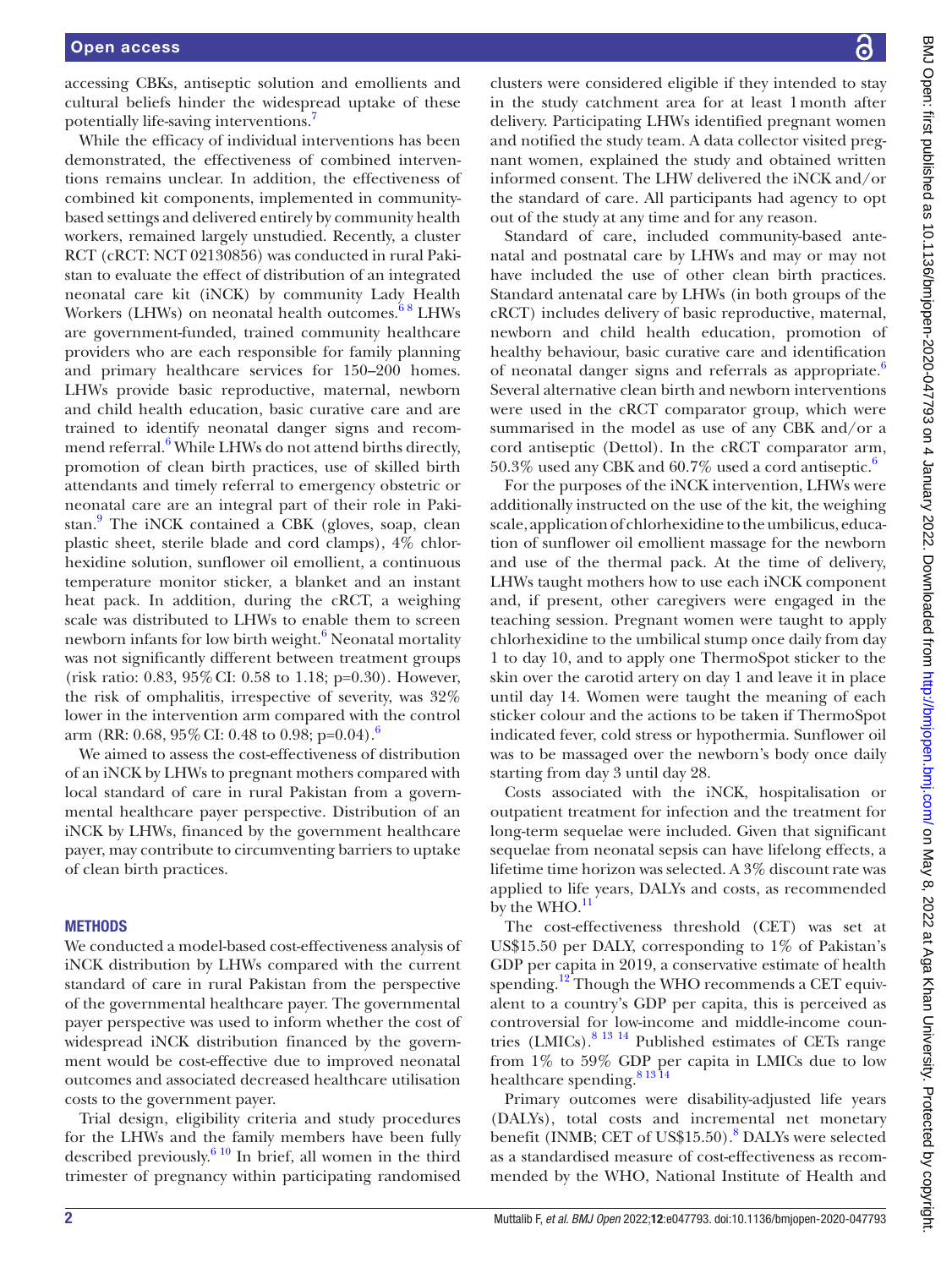accessing CBKs, antiseptic solution and emollients and cultural beliefs hinder the widespread uptake of these potentially life-saving interventions.[7](#page-9-6)

While the efficacy of individual interventions has been demonstrated, the effectiveness of combined interventions remains unclear. In addition, the effectiveness of combined kit components, implemented in communitybased settings and delivered entirely by community health workers, remained largely unstudied. Recently, a cluster RCT (cRCT: NCT 02130856) was conducted in rural Pakistan to evaluate the effect of distribution of an integrated neonatal care kit (iNCK) by community Lady Health Workers (LHWs) on neonatal health outcomes.<sup>68</sup> LHWs are government-funded, trained community healthcare providers who are each responsible for family planning and primary healthcare services for 150–200 homes. LHWs provide basic reproductive, maternal, newborn and child health education, basic curative care and are trained to identify neonatal danger signs and recom-mend referral.<sup>[6](#page-9-5)</sup> While LHWs do not attend births directly, promotion of clean birth practices, use of skilled birth attendants and timely referral to emergency obstetric or neonatal care are an integral part of their role in Paki-stan.<sup>[9](#page-10-0)</sup> The iNCK contained a CBK (gloves, soap, clean plastic sheet, sterile blade and cord clamps), 4% chlorhexidine solution, sunflower oil emollient, a continuous temperature monitor sticker, a blanket and an instant heat pack. In addition, during the cRCT, a weighing scale was distributed to LHWs to enable them to screen newborn infants for low birth weight.<sup>6</sup> Neonatal mortality was not significantly different between treatment groups (risk ratio: 0.83, 95%CI: 0.58 to 1.18; p=0.30). However, the risk of omphalitis, irrespective of severity, was 32% lower in the intervention arm compared with the control arm (RR: 0.[6](#page-9-5)8, 95% CI: 0.48 to 0.98; p=0.04).<sup>6</sup>

We aimed to assess the cost-effectiveness of distribution of an iNCK by LHWs to pregnant mothers compared with local standard of care in rural Pakistan from a governmental healthcare payer perspective. Distribution of an iNCK by LHWs, financed by the government healthcare payer, may contribute to circumventing barriers to uptake of clean birth practices.

#### **METHODS**

We conducted a model-based cost-effectiveness analysis of iNCK distribution by LHWs compared with the current standard of care in rural Pakistan from the perspective of the governmental healthcare payer. The governmental payer perspective was used to inform whether the cost of widespread iNCK distribution financed by the government would be cost-effective due to improved neonatal outcomes and associated decreased healthcare utilisation costs to the government payer.

Trial design, eligibility criteria and study procedures for the LHWs and the family members have been fully described previously. $610$  In brief, all women in the third trimester of pregnancy within participating randomised

clusters were considered eligible if they intended to stay in the study catchment area for at least 1month after delivery. Participating LHWs identified pregnant women and notified the study team. A data collector visited pregnant women, explained the study and obtained written informed consent. The LHW delivered the iNCK and/or the standard of care. All participants had agency to opt out of the study at any time and for any reason.

Standard of care, included community-based antenatal and postnatal care by LHWs and may or may not have included the use of other clean birth practices. Standard antenatal care by LHWs (in both groups of the cRCT) includes delivery of basic reproductive, maternal, newborn and child health education, promotion of healthy behaviour, basic curative care and identification of neonatal danger signs and referrals as appropriate.<sup>[6](#page-9-5)</sup> Several alternative clean birth and newborn interventions were used in the cRCT comparator group, which were summarised in the model as use of any CBK and/or a cord antiseptic (Dettol). In the cRCT comparator arm,  $50.3\%$  used any CBK and  $60.7\%$  $60.7\%$  used a cord antiseptic.<sup>6</sup>

For the purposes of the iNCK intervention, LHWs were additionally instructed on the use of the kit, the weighing scale, application of chlorhexidine to the umbilicus, education of sunflower oil emollient massage for the newborn and use of the thermal pack. At the time of delivery, LHWs taught mothers how to use each iNCK component and, if present, other caregivers were engaged in the teaching session. Pregnant women were taught to apply chlorhexidine to the umbilical stump once daily from day 1 to day 10, and to apply one ThermoSpot sticker to the skin over the carotid artery on day 1 and leave it in place until day 14. Women were taught the meaning of each sticker colour and the actions to be taken if ThermoSpot indicated fever, cold stress or hypothermia. Sunflower oil was to be massaged over the newborn's body once daily starting from day 3 until day 28.

Costs associated with the iNCK, hospitalisation or outpatient treatment for infection and the treatment for long-term sequelae were included. Given that significant sequelae from neonatal sepsis can have lifelong effects, a lifetime time horizon was selected. A 3% discount rate was applied to life years, DALYs and costs, as recommended by the  $WHO.<sup>11</sup>$ 

The cost-effectiveness threshold (CET) was set at US\$15.50 per DALY, corresponding to 1% of Pakistan's GDP per capita in 2019, a conservative estimate of health spending.<sup>12</sup> Though the WHO recommends a CET equivalent to a country's GDP per capita, this is perceived as controversial for low-income and middle-income countries (LMICs)[.8 13 14](#page-9-7) Published estimates of CETs range from 1% to 59% GDP per capita in LMICs due to low healthcare spending.<sup>81314</sup>

Primary outcomes were disability-adjusted life years (DALYs), total costs and incremental net monetary benefit (INMB; CET of US\$15.50).<sup>[8](#page-9-7)</sup> DALYs were selected as a standardised measure of cost-effectiveness as recommended by the WHO, National Institute of Health and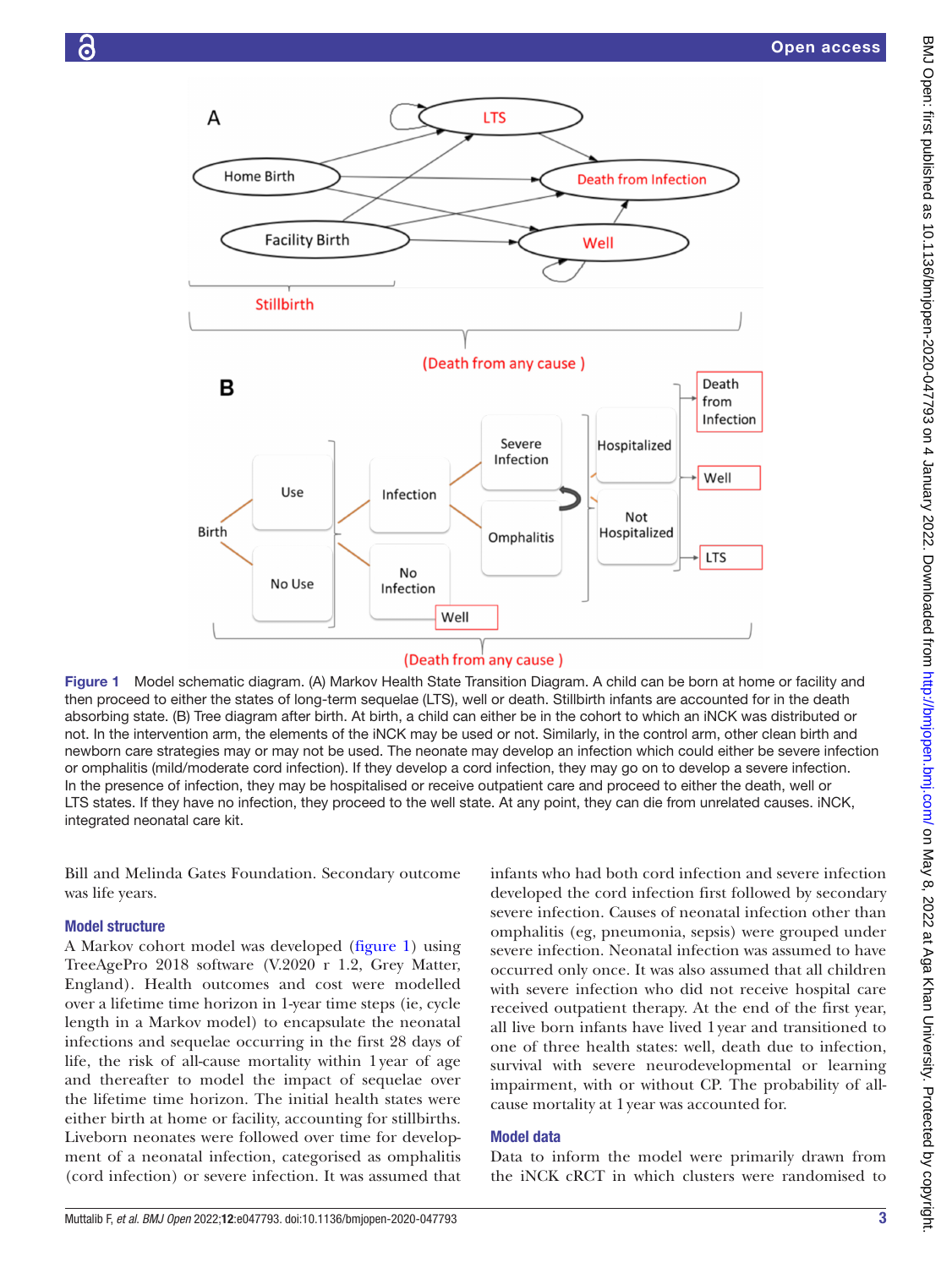

<span id="page-4-0"></span>Figure 1 Model schematic diagram. (A) Markov Health State Transition Diagram. A child can be born at home or facility and then proceed to either the states of long-term sequelae (LTS), well or death. Stillbirth infants are accounted for in the death absorbing state. (B) Tree diagram after birth. At birth, a child can either be in the cohort to which an iNCK was distributed or not. In the intervention arm, the elements of the iNCK may be used or not. Similarly, in the control arm, other clean birth and newborn care strategies may or may not be used. The neonate may develop an infection which could either be severe infection or omphalitis (mild/moderate cord infection). If they develop a cord infection, they may go on to develop a severe infection. In the presence of infection, they may be hospitalised or receive outpatient care and proceed to either the death, well or LTS states. If they have no infection, they proceed to the well state. At any point, they can die from unrelated causes. iNCK, integrated neonatal care kit.

Bill and Melinda Gates Foundation. Secondary outcome was life years.

#### Model structure

A Markov cohort model was developed [\(figure](#page-4-0) 1) using TreeAgePro 2018 software (V.2020 r 1.2, Grey Matter, England). Health outcomes and cost were modelled over a lifetime time horizon in 1-year time steps (ie, cycle length in a Markov model) to encapsulate the neonatal infections and sequelae occurring in the first 28 days of life, the risk of all-cause mortality within 1year of age and thereafter to model the impact of sequelae over the lifetime time horizon. The initial health states were either birth at home or facility, accounting for stillbirths. Liveborn neonates were followed over time for development of a neonatal infection, categorised as omphalitis (cord infection) or severe infection. It was assumed that

infants who had both cord infection and severe infection developed the cord infection first followed by secondary severe infection. Causes of neonatal infection other than omphalitis (eg, pneumonia, sepsis) were grouped under severe infection. Neonatal infection was assumed to have occurred only once. It was also assumed that all children with severe infection who did not receive hospital care received outpatient therapy. At the end of the first year, all live born infants have lived 1year and transitioned to one of three health states: well, death due to infection, survival with severe neurodevelopmental or learning impairment, with or without CP. The probability of allcause mortality at 1year was accounted for.

#### Model data

Data to inform the model were primarily drawn from the iNCK cRCT in which clusters were randomised to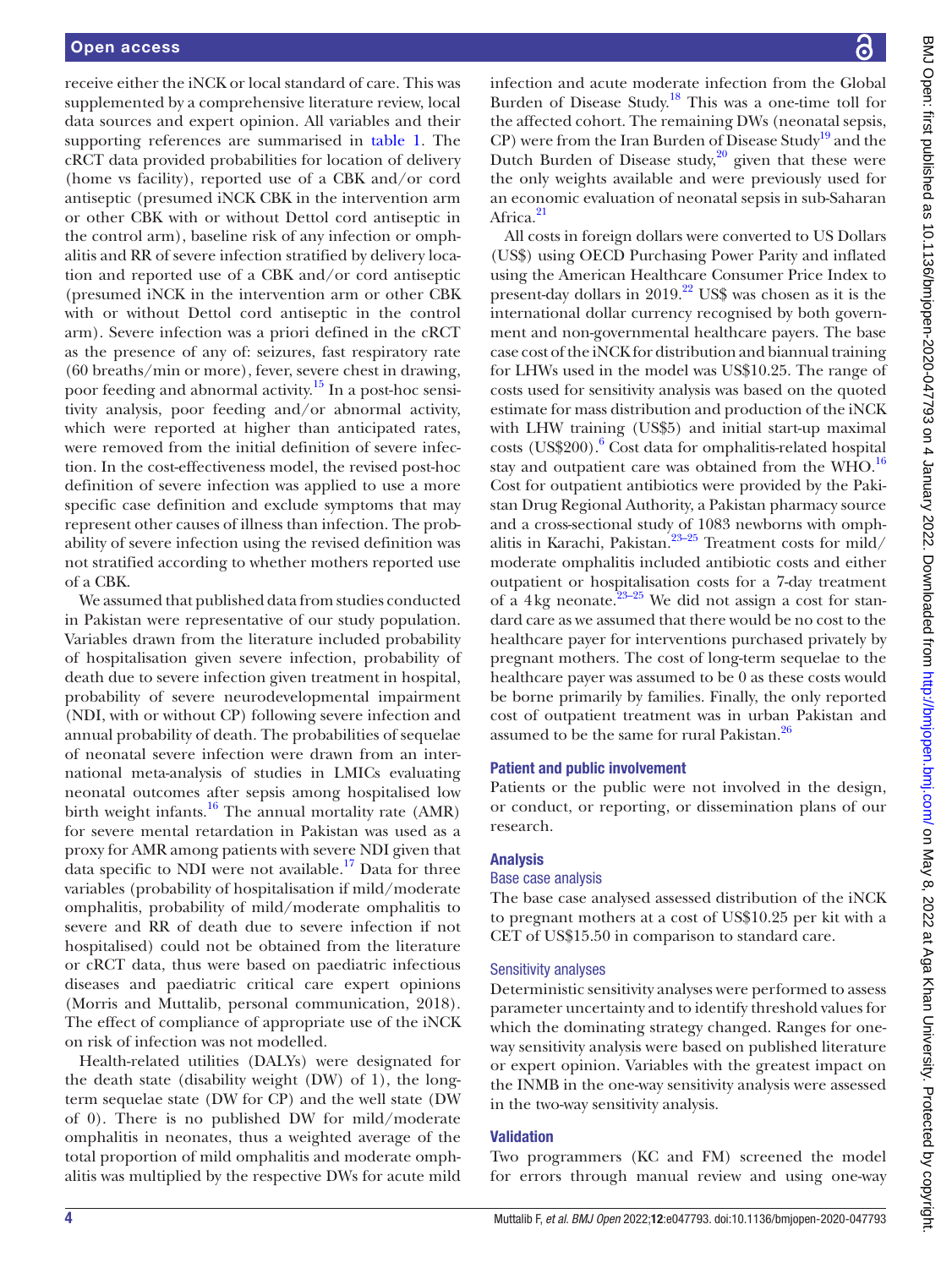receive either the iNCK or local standard of care. This was supplemented by a comprehensive literature review, local data sources and expert opinion. All variables and their supporting references are summarised in [table](#page-6-0) 1. The cRCT data provided probabilities for location of delivery (home vs facility), reported use of a CBK and/or cord antiseptic (presumed iNCK CBK in the intervention arm or other CBK with or without Dettol cord antiseptic in the control arm), baseline risk of any infection or omphalitis and RR of severe infection stratified by delivery location and reported use of a CBK and/or cord antiseptic (presumed iNCK in the intervention arm or other CBK with or without Dettol cord antiseptic in the control arm). Severe infection was a priori defined in the cRCT as the presence of any of: seizures, fast respiratory rate (60 breaths/min or more), fever, severe chest in drawing, poor feeding and abnormal activity.[15](#page-10-3) In a post-hoc sensitivity analysis, poor feeding and/or abnormal activity, which were reported at higher than anticipated rates, were removed from the initial definition of severe infection. In the cost-effectiveness model, the revised post-hoc definition of severe infection was applied to use a more specific case definition and exclude symptoms that may represent other causes of illness than infection. The probability of severe infection using the revised definition was not stratified according to whether mothers reported use of a CBK.

We assumed that published data from studies conducted in Pakistan were representative of our study population. Variables drawn from the literature included probability of hospitalisation given severe infection, probability of death due to severe infection given treatment in hospital, probability of severe neurodevelopmental impairment (NDI, with or without CP) following severe infection and annual probability of death. The probabilities of sequelae of neonatal severe infection were drawn from an international meta-analysis of studies in LMICs evaluating neonatal outcomes after sepsis among hospitalised low birth weight infants. $16$  The annual mortality rate (AMR) for severe mental retardation in Pakistan was used as a proxy for AMR among patients with severe NDI given that data specific to NDI were not available.<sup>17</sup> Data for three variables (probability of hospitalisation if mild/moderate omphalitis, probability of mild/moderate omphalitis to severe and RR of death due to severe infection if not hospitalised) could not be obtained from the literature or cRCT data, thus were based on paediatric infectious diseases and paediatric critical care expert opinions (Morris and Muttalib, personal communication, 2018). The effect of compliance of appropriate use of the iNCK on risk of infection was not modelled.

Health-related utilities (DALYs) were designated for the death state (disability weight (DW) of 1), the longterm sequelae state (DW for CP) and the well state (DW of 0). There is no published DW for mild/moderate omphalitis in neonates, thus a weighted average of the total proportion of mild omphalitis and moderate omphalitis was multiplied by the respective DWs for acute mild

BMJ Open: first published as 10.1136/bmjopen-2020-047793 on 4 January 2022. Downloaded from http://bmjopen.bmj.com/ on May 8, 2022 at Aga Khan University. Protected by copyright. BMJ Open: first published as 10.1136/bmjopen-2020-047793 on 4 January 2022. Downloaded from <http://bmjopen.bmj.com/> BM May 8, 2022 at Aga Khan University. Protected by copyright.

infection and acute moderate infection from the Global Burden of Disease Study.<sup>[18](#page-10-6)</sup> This was a one-time toll for the affected cohort. The remaining DWs (neonatal sepsis, CP) were from the Iran Burden of Disease Study<sup>19</sup> and the Dutch Burden of Disease study,<sup>[20](#page-10-8)</sup> given that these were the only weights available and were previously used for an economic evaluation of neonatal sepsis in sub-Saharan Africa.<sup>21</sup>

All costs in foreign dollars were converted to US Dollars (US\$) using OECD Purchasing Power Parity and inflated using the American Healthcare Consumer Price Index to present-day dollars in  $2019<sup>22</sup>$  US\$ was chosen as it is the international dollar currency recognised by both government and non-governmental healthcare payers. The base case cost of the iNCK for distribution and biannual training for LHWs used in the model was US\$10.25. The range of costs used for sensitivity analysis was based on the quoted estimate for mass distribution and production of the iNCK with LHW training (US\$5) and initial start-up maximal costs (US\$200).<sup>[6](#page-9-5)</sup> Cost data for omphalitis-related hospital stay and outpatient care was obtained from the WHO.<sup>[16](#page-10-4)</sup> Cost for outpatient antibiotics were provided by the Pakistan Drug Regional Authority, a Pakistan pharmacy source and a cross-sectional study of 1083 newborns with omphalitis in Karachi, Pakistan.<sup>23-25</sup> Treatment costs for mild/ moderate omphalitis included antibiotic costs and either outpatient or hospitalisation costs for a 7-day treatment of a 4kg neonate. $23-25$  We did not assign a cost for standard care as we assumed that there would be no cost to the healthcare payer for interventions purchased privately by pregnant mothers. The cost of long-term sequelae to the healthcare payer was assumed to be 0 as these costs would be borne primarily by families. Finally, the only reported cost of outpatient treatment was in urban Pakistan and assumed to be the same for rural Pakistan. $^{26}$  $^{26}$  $^{26}$ 

#### Patient and public involvement

Patients or the public were not involved in the design, or conduct, or reporting, or dissemination plans of our research.

#### Analysis

#### Base case analysis

The base case analysed assessed distribution of the iNCK to pregnant mothers at a cost of US\$10.25 per kit with a CET of US\$15.50 in comparison to standard care.

#### Sensitivity analyses

Deterministic sensitivity analyses were performed to assess parameter uncertainty and to identify threshold values for which the dominating strategy changed. Ranges for oneway sensitivity analysis were based on published literature or expert opinion. Variables with the greatest impact on the INMB in the one-way sensitivity analysis were assessed in the two-way sensitivity analysis.

#### Validation

Two programmers (KC and FM) screened the model for errors through manual review and using one-way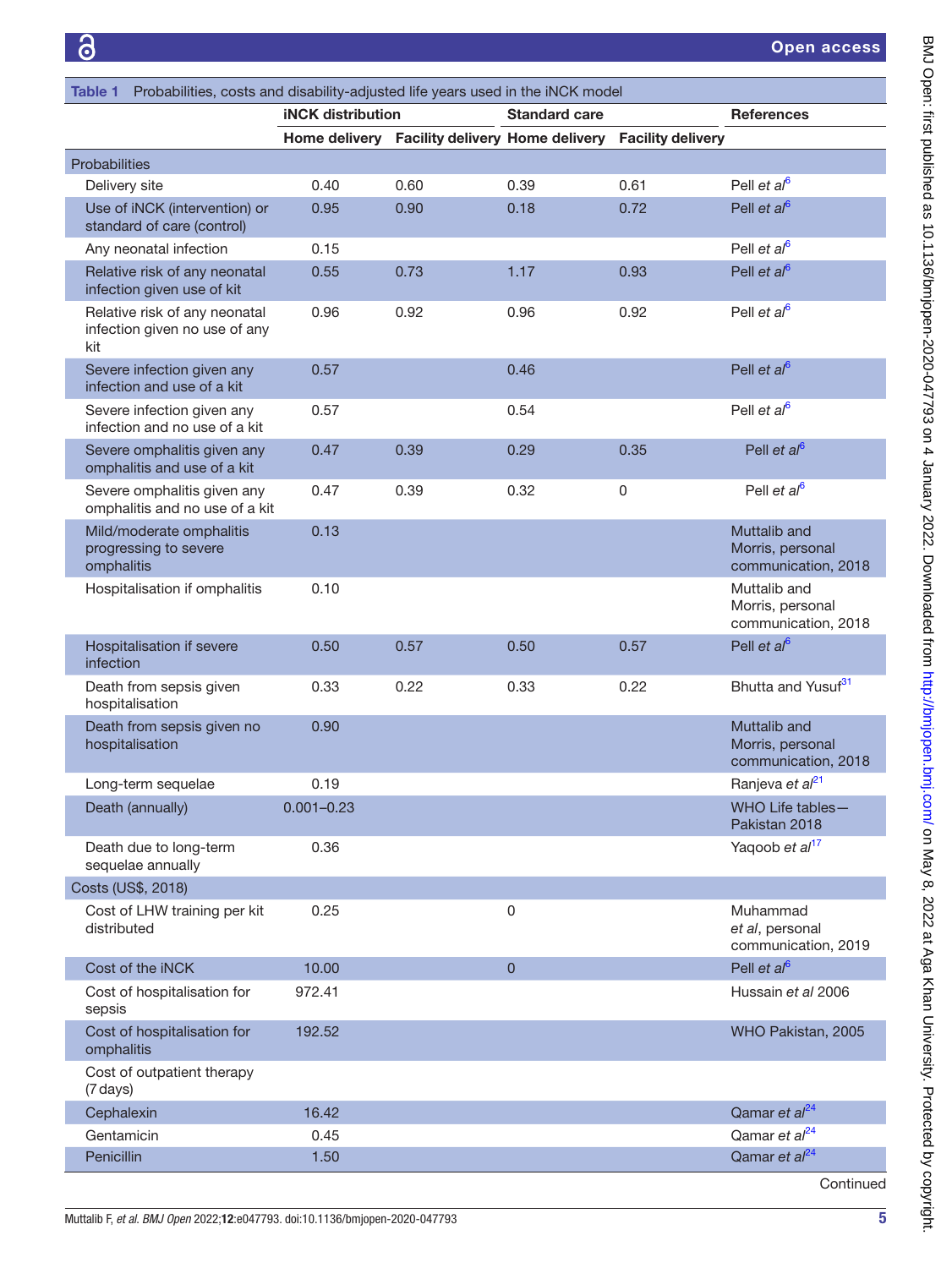<span id="page-6-0"></span>

| Table 1                                                     | Probabilities, costs and disability-adjusted life years used in the iNCK model |                          |                                        |                      |                          |                                                         |  |  |
|-------------------------------------------------------------|--------------------------------------------------------------------------------|--------------------------|----------------------------------------|----------------------|--------------------------|---------------------------------------------------------|--|--|
|                                                             |                                                                                | <b>iNCK</b> distribution |                                        | <b>Standard care</b> |                          | <b>References</b>                                       |  |  |
|                                                             |                                                                                | Home delivery            | <b>Facility delivery Home delivery</b> |                      | <b>Facility delivery</b> |                                                         |  |  |
| Probabilities                                               |                                                                                |                          |                                        |                      |                          |                                                         |  |  |
| Delivery site                                               |                                                                                | 0.40                     | 0.60                                   | 0.39                 | 0.61                     | Pell et $a^{6}$                                         |  |  |
| Use of iNCK (intervention) or<br>standard of care (control) |                                                                                | 0.95                     | 0.90                                   | 0.18                 | 0.72                     | Pell et $a^{6}$                                         |  |  |
| Any neonatal infection                                      |                                                                                | 0.15                     |                                        |                      |                          | Pell et $a^{6}$                                         |  |  |
|                                                             | Relative risk of any neonatal<br>infection given use of kit                    | 0.55                     | 0.73                                   | 1.17                 | 0.93                     | Pell et $a^{6}$                                         |  |  |
| kit                                                         | Relative risk of any neonatal<br>infection given no use of any                 | 0.96                     | 0.92                                   | 0.96                 | 0.92                     | Pell et $a^{6}$                                         |  |  |
|                                                             | Severe infection given any<br>infection and use of a kit                       | 0.57                     |                                        | 0.46                 |                          | Pell et $a^{6}$                                         |  |  |
|                                                             | Severe infection given any<br>infection and no use of a kit                    | 0.57                     |                                        | 0.54                 |                          | Pell et $a^{6}$                                         |  |  |
|                                                             | Severe omphalitis given any<br>omphalitis and use of a kit                     | 0.47                     | 0.39                                   | 0.29                 | 0.35                     | Pell et al <sup>6</sup>                                 |  |  |
|                                                             | Severe omphalitis given any<br>omphalitis and no use of a kit                  | 0.47                     | 0.39                                   | 0.32                 | 0                        | Pell et $a^{6}$                                         |  |  |
| omphalitis                                                  | Mild/moderate omphalitis<br>progressing to severe                              | 0.13                     |                                        |                      |                          | Muttalib and<br>Morris, personal<br>communication, 2018 |  |  |
|                                                             | Hospitalisation if omphalitis                                                  | 0.10                     |                                        |                      |                          | Muttalib and<br>Morris, personal<br>communication, 2018 |  |  |
| infection                                                   | Hospitalisation if severe                                                      | 0.50                     | 0.57                                   | 0.50                 | 0.57                     | Pell et $al^6$                                          |  |  |
|                                                             | Death from sepsis given<br>hospitalisation                                     | 0.33                     | 0.22                                   | 0.33                 | 0.22                     | Bhutta and Yusuf <sup>31</sup>                          |  |  |
|                                                             | Death from sepsis given no<br>hospitalisation                                  | 0.90                     |                                        |                      |                          | Muttalib and<br>Morris, personal<br>communication, 2018 |  |  |
|                                                             | Long-term sequelae                                                             | 0.19                     |                                        |                      |                          | Ranjeva et al <sup>21</sup>                             |  |  |
|                                                             | Death (annually)                                                               | $0.001 - 0.23$           |                                        |                      |                          | WHO Life tables-<br>Pakistan 2018                       |  |  |
|                                                             | Death due to long-term<br>sequelae annually                                    | 0.36                     |                                        |                      |                          | Yaqoob et al <sup>17</sup>                              |  |  |
| Costs (US\$, 2018)                                          |                                                                                |                          |                                        |                      |                          |                                                         |  |  |
| distributed                                                 | Cost of LHW training per kit                                                   | 0.25                     |                                        | 0                    |                          | Muhammad<br>et al, personal<br>communication, 2019      |  |  |
|                                                             | Cost of the iNCK                                                               | 10.00                    |                                        | $\mathbf 0$          |                          | Pell et $a^{6}$                                         |  |  |
| sepsis                                                      | Cost of hospitalisation for                                                    | 972.41                   |                                        |                      |                          | Hussain et al 2006                                      |  |  |
| omphalitis                                                  | Cost of hospitalisation for                                                    | 192.52                   |                                        |                      |                          | WHO Pakistan, 2005                                      |  |  |
| (7 days)                                                    | Cost of outpatient therapy                                                     |                          |                                        |                      |                          |                                                         |  |  |
|                                                             | Cephalexin                                                                     | 16.42                    |                                        |                      |                          | Qamar et al <sup>24</sup>                               |  |  |
|                                                             | Gentamicin                                                                     | 0.45                     |                                        |                      |                          | Qamar et al <sup>24</sup>                               |  |  |
| Penicillin                                                  |                                                                                | 1.50                     |                                        |                      |                          | Qamar et al <sup>24</sup>                               |  |  |
|                                                             |                                                                                |                          |                                        |                      |                          | Continued                                               |  |  |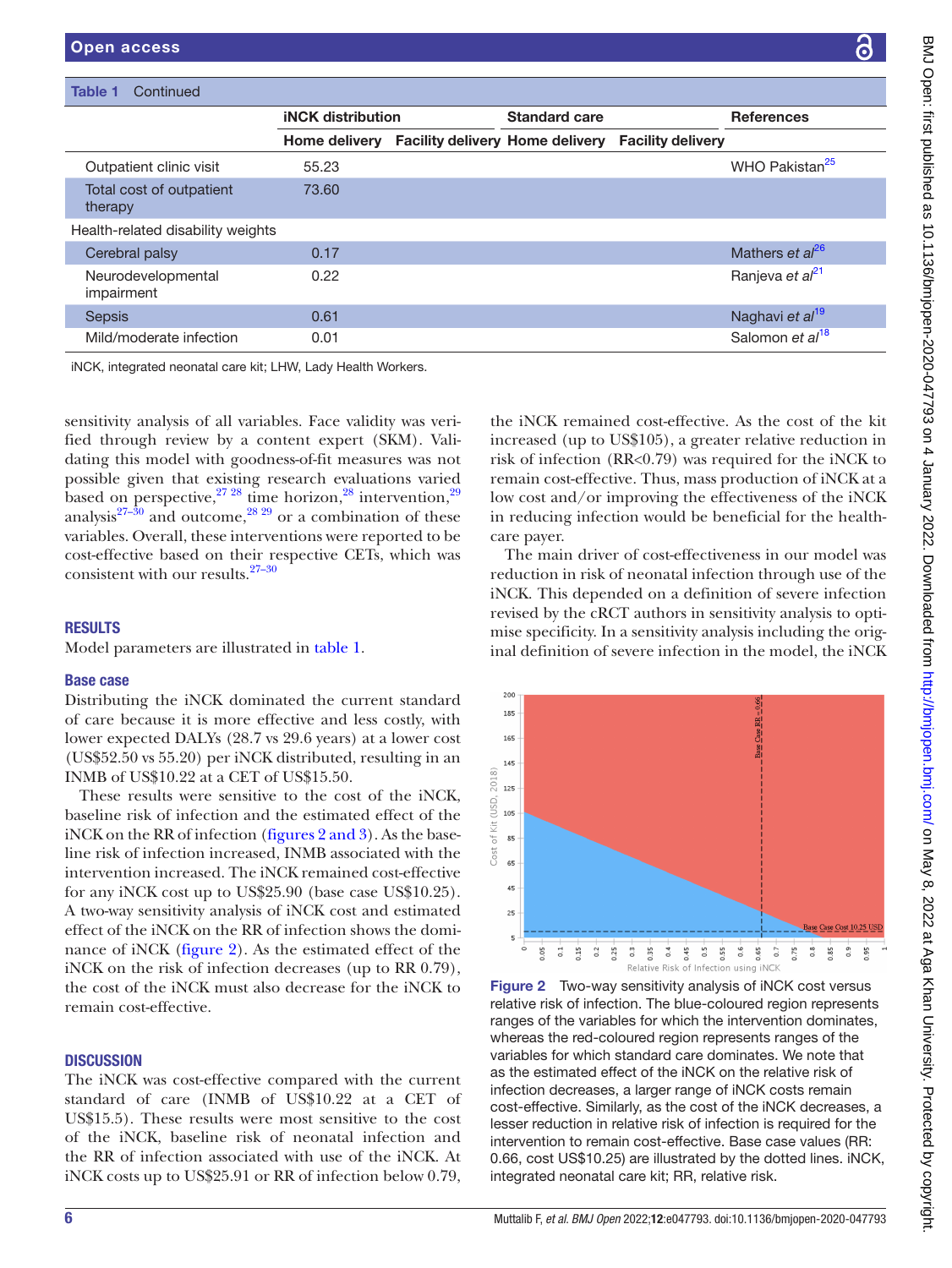떻

| $\frac{1}{2}$                                                                     |
|-----------------------------------------------------------------------------------|
|                                                                                   |
| -<br>-<br>-<br>-<br>-<br>-<br>-<br>-<br><br>-<br><br><br><br><br><br><br><br><br> |
| i<br>!                                                                            |
|                                                                                   |
|                                                                                   |
|                                                                                   |
|                                                                                   |
|                                                                                   |
|                                                                                   |
|                                                                                   |
| こ ユムロアミニーシー                                                                       |
|                                                                                   |
|                                                                                   |
|                                                                                   |
|                                                                                   |
|                                                                                   |
|                                                                                   |
|                                                                                   |
|                                                                                   |
| was chtthe as                                                                     |
|                                                                                   |
|                                                                                   |
|                                                                                   |
|                                                                                   |
|                                                                                   |
|                                                                                   |
|                                                                                   |
|                                                                                   |
|                                                                                   |
| <b>SAN TOTAL IN SECTIONS CONTRACT</b>                                             |
|                                                                                   |
|                                                                                   |
|                                                                                   |
|                                                                                   |
|                                                                                   |
|                                                                                   |
|                                                                                   |
|                                                                                   |
|                                                                                   |
|                                                                                   |
|                                                                                   |
|                                                                                   |
|                                                                                   |
|                                                                                   |
| .<br>-<br>-<br>-<br>-                                                             |
|                                                                                   |
|                                                                                   |
|                                                                                   |
| <u>ימוווח</u><br>Ď<br>D                                                           |
|                                                                                   |
|                                                                                   |
|                                                                                   |
|                                                                                   |
|                                                                                   |
|                                                                                   |
|                                                                                   |
|                                                                                   |
|                                                                                   |
|                                                                                   |
|                                                                                   |
| )<br>)<br>)                                                                       |
|                                                                                   |
|                                                                                   |
|                                                                                   |
|                                                                                   |
|                                                                                   |
|                                                                                   |
|                                                                                   |
|                                                                                   |
|                                                                                   |
|                                                                                   |
|                                                                                   |
| I                                                                                 |
|                                                                                   |
|                                                                                   |
|                                                                                   |
|                                                                                   |
|                                                                                   |
|                                                                                   |
|                                                                                   |
|                                                                                   |

| Continued<br><b>Table 1</b>         |                          |  |                      |                                                          |                             |
|-------------------------------------|--------------------------|--|----------------------|----------------------------------------------------------|-----------------------------|
|                                     | <b>iNCK</b> distribution |  | <b>Standard care</b> |                                                          | <b>References</b>           |
|                                     | <b>Home delivery</b>     |  |                      | <b>Facility delivery Home delivery Facility delivery</b> |                             |
| Outpatient clinic visit             | 55.23                    |  |                      |                                                          | WHO Pakistan <sup>25</sup>  |
| Total cost of outpatient<br>therapy | 73.60                    |  |                      |                                                          |                             |
| Health-related disability weights   |                          |  |                      |                                                          |                             |
| Cerebral palsy                      | 0.17                     |  |                      |                                                          | Mathers et al <sup>26</sup> |
| Neurodevelopmental<br>impairment    | 0.22                     |  |                      |                                                          | Ranjeva et al <sup>21</sup> |
| <b>Sepsis</b>                       | 0.61                     |  |                      |                                                          | Naghavi et al <sup>19</sup> |
| Mild/moderate infection             | 0.01                     |  |                      |                                                          | Salomon et al <sup>18</sup> |

iNCK, integrated neonatal care kit; LHW, Lady Health Workers.

sensitivity analysis of all variables. Face validity was verified through review by a content expert (SKM). Validating this model with goodness-of-fit measures was not possible given that existing research evaluations varied based on perspective, $27\frac{28}{1}$  $27\frac{28}{1}$  $27\frac{28}{1}$  time horizon, $28\frac{1}{8}$  intervention, $29\frac{1}{8}$ analysis<sup>[27–30](#page-10-15)</sup> and outcome,<sup>28 29</sup> or a combination of these variables. Overall, these interventions were reported to be cost-effective based on their respective CETs, which was consistent with our results[.27–30](#page-10-15)

#### **RESULTS**

Model parameters are illustrated in [table](#page-6-0) 1.

#### Base case

Distributing the iNCK dominated the current standard of care because it is more effective and less costly, with lower expected DALYs (28.7 vs 29.6 years) at a lower cost (US\$52.50 vs 55.20) per iNCK distributed, resulting in an INMB of US\$10.22 at a CET of US\$15.50.

These results were sensitive to the cost of the iNCK, baseline risk of infection and the estimated effect of the iNCK on the RR of infection (figures [2 and 3\)](#page-7-0). As the baseline risk of infection increased, INMB associated with the intervention increased. The iNCK remained cost-effective for any iNCK cost up to US\$25.90 (base case US\$10.25). A two-way sensitivity analysis of iNCK cost and estimated effect of the iNCK on the RR of infection shows the dominance of iNCK ([figure](#page-7-0) 2). As the estimated effect of the iNCK on the risk of infection decreases (up to RR 0.79), the cost of the iNCK must also decrease for the iNCK to remain cost-effective.

#### **DISCUSSION**

The iNCK was cost-effective compared with the current standard of care (INMB of US\$10.22 at a CET of US\$15.5). These results were most sensitive to the cost of the iNCK, baseline risk of neonatal infection and the RR of infection associated with use of the iNCK. At iNCK costs up to US\$25.91 or RR of infection below 0.79,

the iNCK remained cost-effective. As the cost of the kit increased (up to US\$105), a greater relative reduction in risk of infection (RR<0.79) was required for the iNCK to remain cost-effective. Thus, mass production of iNCK at a low cost and/or improving the effectiveness of the iNCK in reducing infection would be beneficial for the healthcare payer.

The main driver of cost-effectiveness in our model was reduction in risk of neonatal infection through use of the iNCK. This depended on a definition of severe infection revised by the cRCT authors in sensitivity analysis to optimise specificity. In a sensitivity analysis including the original definition of severe infection in the model, the iNCK



<span id="page-7-0"></span>Figure 2 Two-way sensitivity analysis of iNCK cost versus relative risk of infection. The blue-coloured region represents ranges of the variables for which the intervention dominates, whereas the red-coloured region represents ranges of the variables for which standard care dominates. We note that as the estimated effect of the iNCK on the relative risk of infection decreases, a larger range of iNCK costs remain cost-effective. Similarly, as the cost of the iNCK decreases, a lesser reduction in relative risk of infection is required for the intervention to remain cost-effective. Base case values (RR: 0.66, cost US\$10.25) are illustrated by the dotted lines. iNCK, integrated neonatal care kit; RR, relative risk.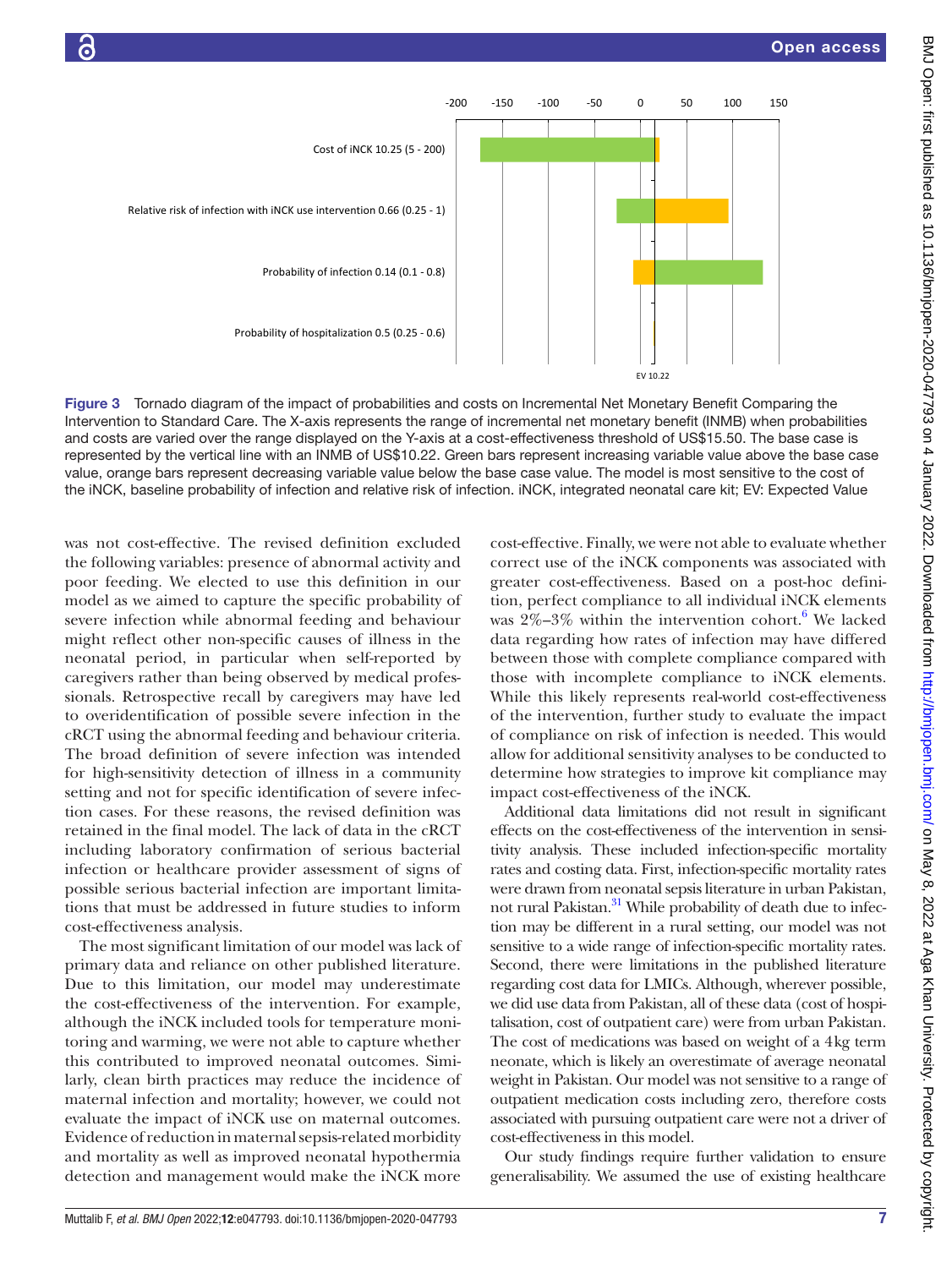

Figure 3 Tornado diagram of the impact of probabilities and costs on Incremental Net Monetary Benefit Comparing the Intervention to Standard Care. The X-axis represents the range of incremental net monetary benefit (INMB) when probabilities and costs are varied over the range displayed on the Y-axis at a cost-effectiveness threshold of US\$15.50. The base case is represented by the vertical line with an INMB of US\$10.22. Green bars represent increasing variable value above the base case value, orange bars represent decreasing variable value below the base case value. The model is most sensitive to the cost of the iNCK, baseline probability of infection and relative risk of infection. iNCK, integrated neonatal care kit; EV: Expected Value

was not cost-effective. The revised definition excluded the following variables: presence of abnormal activity and poor feeding. We elected to use this definition in our model as we aimed to capture the specific probability of severe infection while abnormal feeding and behaviour might reflect other non-specific causes of illness in the neonatal period, in particular when self-reported by caregivers rather than being observed by medical professionals. Retrospective recall by caregivers may have led to overidentification of possible severe infection in the cRCT using the abnormal feeding and behaviour criteria. The broad definition of severe infection was intended for high-sensitivity detection of illness in a community setting and not for specific identification of severe infection cases. For these reasons, the revised definition was retained in the final model. The lack of data in the cRCT including laboratory confirmation of serious bacterial infection or healthcare provider assessment of signs of possible serious bacterial infection are important limitations that must be addressed in future studies to inform cost-effectiveness analysis.

The most significant limitation of our model was lack of primary data and reliance on other published literature. Due to this limitation, our model may underestimate the cost-effectiveness of the intervention. For example, although the iNCK included tools for temperature monitoring and warming, we were not able to capture whether this contributed to improved neonatal outcomes. Similarly, clean birth practices may reduce the incidence of maternal infection and mortality; however, we could not evaluate the impact of iNCK use on maternal outcomes. Evidence of reduction in maternal sepsis-related morbidity and mortality as well as improved neonatal hypothermia detection and management would make the iNCK more

cost-effective. Finally, we were not able to evaluate whether correct use of the iNCK components was associated with greater cost-effectiveness. Based on a post-hoc definition, perfect compliance to all individual iNCK elements was  $2\% - 3\%$  within the intervention cohort.<sup>[6](#page-9-5)</sup> We lacked data regarding how rates of infection may have differed between those with complete compliance compared with those with incomplete compliance to iNCK elements. While this likely represents real-world cost-effectiveness of the intervention, further study to evaluate the impact of compliance on risk of infection is needed. This would allow for additional sensitivity analyses to be conducted to determine how strategies to improve kit compliance may impact cost-effectiveness of the iNCK.

Additional data limitations did not result in significant effects on the cost-effectiveness of the intervention in sensitivity analysis. These included infection-specific mortality rates and costing data. First, infection-specific mortality rates were drawn from neonatal sepsis literature in urban Pakistan, not rural Pakistan.<sup>[31](#page-10-13)</sup> While probability of death due to infection may be different in a rural setting, our model was not sensitive to a wide range of infection-specific mortality rates. Second, there were limitations in the published literature regarding cost data for LMICs. Although, wherever possible, we did use data from Pakistan, all of these data (cost of hospitalisation, cost of outpatient care) were from urban Pakistan. The cost of medications was based on weight of a 4kg term neonate, which is likely an overestimate of average neonatal weight in Pakistan. Our model was not sensitive to a range of outpatient medication costs including zero, therefore costs associated with pursuing outpatient care were not a driver of cost-effectiveness in this model.

Our study findings require further validation to ensure generalisability. We assumed the use of existing healthcare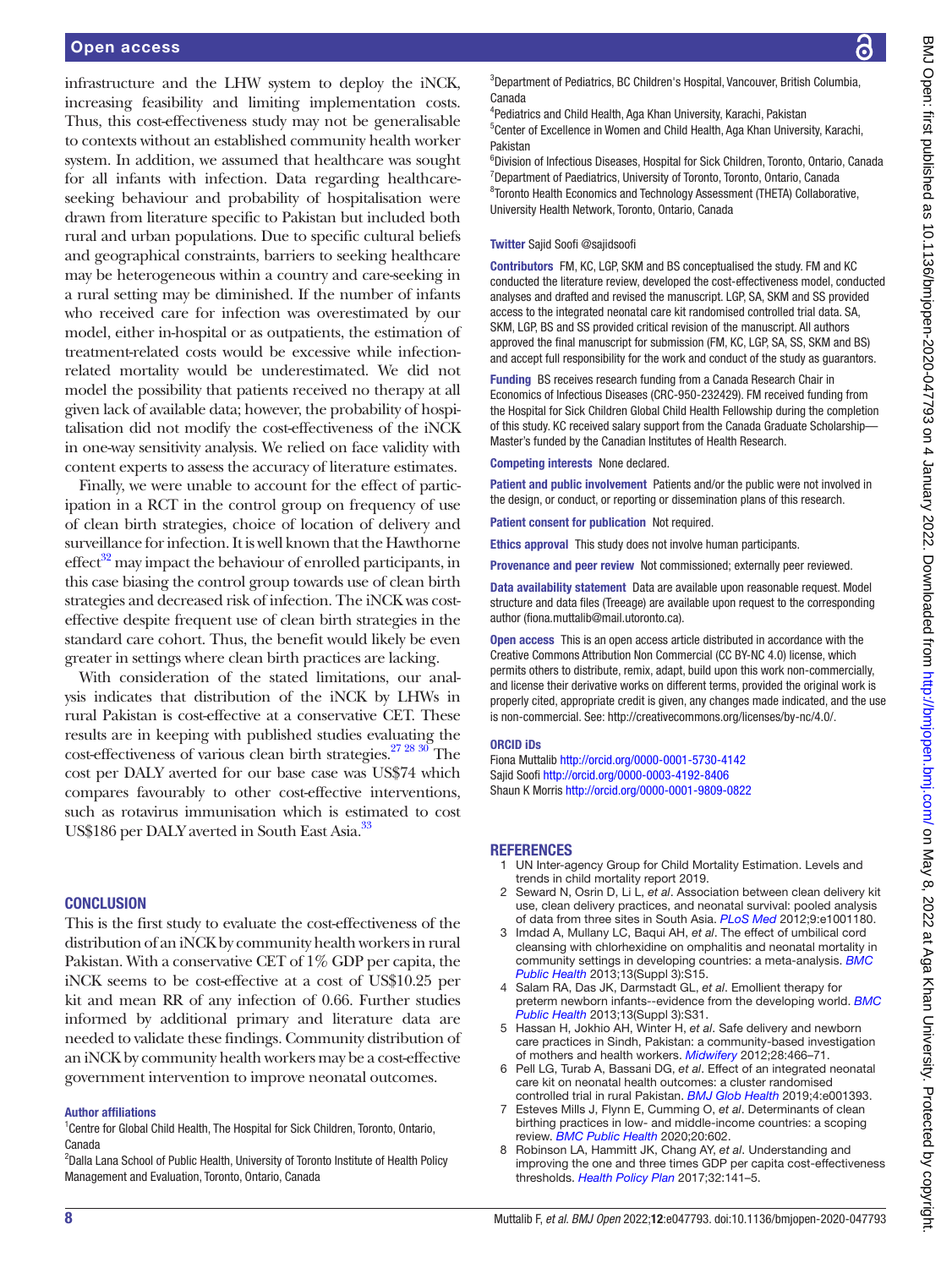infrastructure and the LHW system to deploy the iNCK, increasing feasibility and limiting implementation costs. Thus, this cost-effectiveness study may not be generalisable to contexts without an established community health worker system. In addition, we assumed that healthcare was sought for all infants with infection. Data regarding healthcareseeking behaviour and probability of hospitalisation were drawn from literature specific to Pakistan but included both rural and urban populations. Due to specific cultural beliefs and geographical constraints, barriers to seeking healthcare may be heterogeneous within a country and care-seeking in a rural setting may be diminished. If the number of infants who received care for infection was overestimated by our model, either in-hospital or as outpatients, the estimation of treatment-related costs would be excessive while infectionrelated mortality would be underestimated. We did not model the possibility that patients received no therapy at all given lack of available data; however, the probability of hospitalisation did not modify the cost-effectiveness of the iNCK in one-way sensitivity analysis. We relied on face validity with content experts to assess the accuracy of literature estimates.

Finally, we were unable to account for the effect of participation in a RCT in the control group on frequency of use of clean birth strategies, choice of location of delivery and surveillance for infection. It is well known that the Hawthorne  $effect^{32}$  may impact the behaviour of enrolled participants, in this case biasing the control group towards use of clean birth strategies and decreased risk of infection. The iNCK was costeffective despite frequent use of clean birth strategies in the standard care cohort. Thus, the benefit would likely be even greater in settings where clean birth practices are lacking.

With consideration of the stated limitations, our analysis indicates that distribution of the iNCK by LHWs in rural Pakistan is cost-effective at a conservative CET. These results are in keeping with published studies evaluating the cost-effectiveness of various clean birth strategies[.27 28 30](#page-10-15) The cost per DALY averted for our base case was US\$74 which compares favourably to other cost-effective interventions, such as rotavirus immunisation which is estimated to cost US\$186 per DALY averted in South East Asia.<sup>33</sup>

#### **CONCLUSION**

This is the first study to evaluate the cost-effectiveness of the distribution of an iNCK by community health workers in rural Pakistan. With a conservative CET of 1% GDP per capita, the iNCK seems to be cost-effective at a cost of US\$10.25 per kit and mean RR of any infection of 0.66. Further studies informed by additional primary and literature data are needed to validate these findings. Community distribution of an iNCK by community health workers may be a cost-effective government intervention to improve neonatal outcomes.

#### Author affiliations

<sup>1</sup> Centre for Global Child Health, The Hospital for Sick Children, Toronto, Ontario, Canada

<sup>2</sup>Dalla Lana School of Public Health, University of Toronto Institute of Health Policy Management and Evaluation, Toronto, Ontario, Canada

<sup>3</sup>Department of Pediatrics, BC Children's Hospital, Vancouver, British Columbia, Canada

4 Pediatrics and Child Health, Aga Khan University, Karachi, Pakistan 5 Center of Excellence in Women and Child Health, Aga Khan University, Karachi, Pakistan

<sup>6</sup>Division of Infectious Diseases, Hospital for Sick Children, Toronto, Ontario, Canada <sup>7</sup>Department of Paediatrics, University of Toronto, Toronto, Ontario, Canada <sup>8</sup> Toronto Health Economics and Technology Assessment (THETA) Collaborative, University Health Network, Toronto, Ontario, Canada

#### Twitter Sajid Soofi [@sajidsoofi](https://twitter.com/sajidsoofi)

Contributors FM, KC, LGP, SKM and BS conceptualised the study. FM and KC conducted the literature review, developed the cost-effectiveness model, conducted analyses and drafted and revised the manuscript. LGP, SA, SKM and SS provided access to the integrated neonatal care kit randomised controlled trial data. SA, SKM, LGP, BS and SS provided critical revision of the manuscript. All authors approved the final manuscript for submission (FM, KC, LGP, SA, SS, SKM and BS) and accept full responsibility for the work and conduct of the study as guarantors.

Funding BS receives research funding from a Canada Research Chair in Economics of Infectious Diseases (CRC-950-232429). FM received funding from the Hospital for Sick Children Global Child Health Fellowship during the completion of this study. KC received salary support from the Canada Graduate Scholarship— Master's funded by the Canadian Institutes of Health Research.

Competing interests None declared.

Patient and public involvement Patients and/or the public were not involved in the design, or conduct, or reporting or dissemination plans of this research.

Patient consent for publication Not required.

Ethics approval This study does not involve human participants.

Provenance and peer review Not commissioned; externally peer reviewed.

Data availability statement Data are available upon reasonable request. Model structure and data files (Treeage) are available upon request to the corresponding author (fiona.muttalib@mail.utoronto.ca).

Open access This is an open access article distributed in accordance with the Creative Commons Attribution Non Commercial (CC BY-NC 4.0) license, which permits others to distribute, remix, adapt, build upon this work non-commercially, and license their derivative works on different terms, provided the original work is properly cited, appropriate credit is given, any changes made indicated, and the use is non-commercial. See: [http://creativecommons.org/licenses/by-nc/4.0/.](http://creativecommons.org/licenses/by-nc/4.0/)

#### ORCID iDs

Fiona Muttalib <http://orcid.org/0000-0001-5730-4142> Sajid Soofi<http://orcid.org/0000-0003-4192-8406> Shaun K Morris<http://orcid.org/0000-0001-9809-0822>

#### <span id="page-9-0"></span>REFERENCES

- 1 UN Inter-agency Group for Child Mortality Estimation. Levels and trends in child mortality report 2019.
- <span id="page-9-1"></span>2 Seward N, Osrin D, Li L, *et al*. Association between clean delivery kit use, clean delivery practices, and neonatal survival: pooled analysis of data from three sites in South Asia. *[PLoS Med](http://dx.doi.org/10.1371/journal.pmed.1001180)* 2012;9:e1001180.
- <span id="page-9-2"></span>3 Imdad A, Mullany LC, Baqui AH, *et al*. The effect of umbilical cord cleansing with chlorhexidine on omphalitis and neonatal mortality in community settings in developing countries: a meta-analysis. *[BMC](http://dx.doi.org/10.1186/1471-2458-13-S3-S15)  [Public Health](http://dx.doi.org/10.1186/1471-2458-13-S3-S15)* 2013;13(Suppl 3):S15.
- <span id="page-9-3"></span>4 Salam RA, Das JK, Darmstadt GL, *et al*. Emollient therapy for preterm newborn infants--evidence from the developing world. *[BMC](http://dx.doi.org/10.1186/1471-2458-13-S3-S31)  [Public Health](http://dx.doi.org/10.1186/1471-2458-13-S3-S31)* 2013;13(Suppl 3):S31.
- <span id="page-9-4"></span>5 Hassan H, Jokhio AH, Winter H, *et al*. Safe delivery and newborn care practices in Sindh, Pakistan: a community-based investigation of mothers and health workers. *[Midwifery](http://dx.doi.org/10.1016/j.midw.2011.06.012)* 2012;28:466–71.
- <span id="page-9-5"></span>6 Pell LG, Turab A, Bassani DG, *et al*. Effect of an integrated neonatal care kit on neonatal health outcomes: a cluster randomised controlled trial in rural Pakistan. *[BMJ Glob Health](http://dx.doi.org/10.1136/bmjgh-2019-001393)* 2019;4:e001393.
- <span id="page-9-6"></span>7 Esteves Mills J, Flynn E, Cumming O, *et al*. Determinants of clean birthing practices in low- and middle-income countries: a scoping review. *[BMC Public Health](http://dx.doi.org/10.1186/s12889-020-8431-4)* 2020;20:602.
- <span id="page-9-7"></span>8 Robinson LA, Hammitt JK, Chang AY, *et al*. Understanding and improving the one and three times GDP per capita cost-effectiveness thresholds. *[Health Policy Plan](http://dx.doi.org/10.1093/heapol/czw096)* 2017;32:141–5.